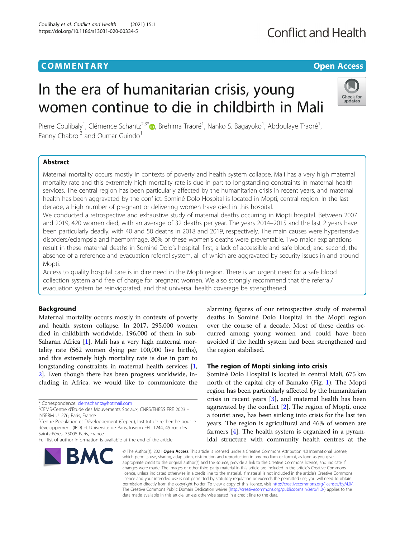# **COMMENTARY COMMENTARY COMMENTARY**

# **Conflict and Health**

# In the era of humanitarian crisis, young women continue to die in childbirth in Mali



Pierre Coulibaly<sup>1</sup>, Clémence Schantz<sup>2,3[\\*](http://orcid.org/0000-0003-2825-4531)</sup>®, Brehima Traoré<sup>1</sup>, Nanko S. Bagayoko<sup>1</sup>, Abdoulaye Traoré<sup>1</sup> , Fanny Chabrol<sup>3</sup> and Oumar Guindo<sup>1</sup>

# Abstract

Maternal mortality occurs mostly in contexts of poverty and health system collapse. Mali has a very high maternal mortality rate and this extremely high mortality rate is due in part to longstanding constraints in maternal health services. The central region has been particularly affected by the humanitarian crisis in recent years, and maternal health has been aggravated by the conflict. Sominé Dolo Hospital is located in Mopti, central region. In the last decade, a high number of pregnant or delivering women have died in this hospital.

We conducted a retrospective and exhaustive study of maternal deaths occurring in Mopti hospital. Between 2007 and 2019, 420 women died, with an average of 32 deaths per year. The years 2014–2015 and the last 2 years have been particularly deadly, with 40 and 50 deaths in 2018 and 2019, respectively. The main causes were hypertensive disorders/eclampsia and haemorrhage. 80% of these women's deaths were preventable. Two major explanations result in these maternal deaths in Sominé Dolo's hospital: first, a lack of accessible and safe blood, and second, the absence of a reference and evacuation referral system, all of which are aggravated by security issues in and around Mopti.

Access to quality hospital care is in dire need in the Mopti region. There is an urgent need for a safe blood collection system and free of charge for pregnant women. We also strongly recommend that the referral/ evacuation system be reinvigorated, and that universal health coverage be strengthened.

# Background

Maternal mortality occurs mostly in contexts of poverty and health system collapse. In 2017, 295,000 women died in childbirth worldwide, 196,000 of them in sub-Saharan Africa [\[1\]](#page-3-0). Mali has a very high maternal mortality rate (562 women dying per 100,000 live births), and this extremely high mortality rate is due in part to longstanding constraints in maternal health services [\[1](#page-3-0), [2\]](#page-3-0). Even though there has been progress worldwide, including in Africa, we would like to communicate the

<sup>3</sup>Centre Population et Développement (Ceped), Institut de recherche pour le développement (IRD) et Université de Paris, Inserm ERL 1244, 45 rue des Saints-Pères, 75006 Paris, France

Full list of author information is available at the end of the article



alarming figures of our retrospective study of maternal deaths in Sominé Dolo Hospital in the Mopti region over the course of a decade. Most of these deaths occurred among young women and could have been avoided if the health system had been strengthened and the region stabilised.

# The region of Mopti sinking into crisis

Sominé Dolo Hospital is located in central Mali, 675 km north of the capital city of Bamako (Fig. [1](#page-1-0)). The Mopti region has been particularly affected by the humanitarian crisis in recent years [[3\]](#page-3-0), and maternal health has been aggravated by the conflict [\[2](#page-3-0)]. The region of Mopti, once a tourist area, has been sinking into crisis for the last ten years. The region is agricultural and 46% of women are farmers [\[4](#page-3-0)]. The health system is organized in a pyramidal structure with community health centres at the

© The Author(s), 2021 **Open Access** This article is licensed under a Creative Commons Attribution 4.0 International License, which permits use, sharing, adaptation, distribution and reproduction in any medium or format, as long as you give appropriate credit to the original author(s) and the source, provide a link to the Creative Commons licence, and indicate if changes were made. The images or other third party material in this article are included in the article's Creative Commons licence, unless indicated otherwise in a credit line to the material. If material is not included in the article's Creative Commons licence and your intended use is not permitted by statutory regulation or exceeds the permitted use, you will need to obtain permission directly from the copyright holder. To view a copy of this licence, visit [http://creativecommons.org/licenses/by/4.0/.](http://creativecommons.org/licenses/by/4.0/) The Creative Commons Public Domain Dedication waiver [\(http://creativecommons.org/publicdomain/zero/1.0/](http://creativecommons.org/publicdomain/zero/1.0/)) applies to the data made available in this article, unless otherwise stated in a credit line to the data.

<sup>\*</sup> Correspondence: [clemschantz@hotmail.com](mailto:clemschantz@hotmail.com) <sup>2</sup>

CEMS-Centre d'Etude des Mouvements Sociaux; CNRS/EHESS FRE 2023 – INSERM U1276, Paris, France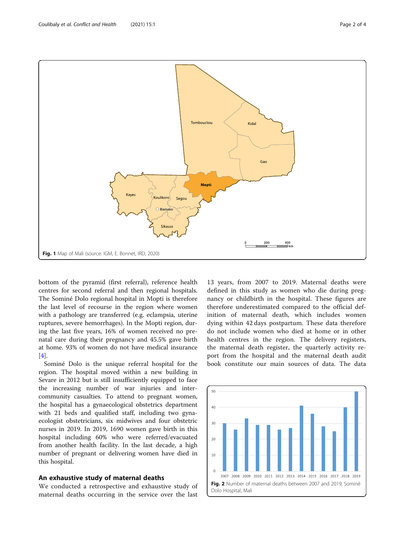bottom of the pyramid (first referral), reference health centres for second referral and then regional hospitals. The Sominé Dolo regional hospital in Mopti is therefore the last level of recourse in the region where women with a pathology are transferred (e.g. eclampsia, uterine ruptures, severe hemorrhages). In the Mopti region, during the last five years, 16% of women received no prenatal care during their pregnancy and 45.5% gave birth at home. 93% of women do not have medical insurance [[4\]](#page-3-0).

Sominé Dolo is the unique referral hospital for the region. The hospital moved within a new building in Sevare in 2012 but is still insufficiently equipped to face the increasing number of war injuries and intercommunity casualties. To attend to pregnant women, the hospital has a gynaecological obstetrics department with 21 beds and qualified staff, including two gynaecologist obstetricians, six midwives and four obstetric nurses in 2019. In 2019, 1690 women gave birth in this hospital including 60% who were referred/evacuated from another health facility. In the last decade, a high number of pregnant or delivering women have died in this hospital.

## An exhaustive study of maternal deaths

We conducted a retrospective and exhaustive study of maternal deaths occurring in the service over the last

13 years, from 2007 to 2019. Maternal deaths were defined in this study as women who die during pregnancy or childbirth in the hospital. These figures are therefore underestimated compared to the official definition of maternal death, which includes women dying within 42 days postpartum. These data therefore do not include women who died at home or in other health centres in the region. The delivery registers, the maternal death register, the quarterly activity report from the hospital and the maternal death audit book constitute our main sources of data. The data



<span id="page-1-0"></span>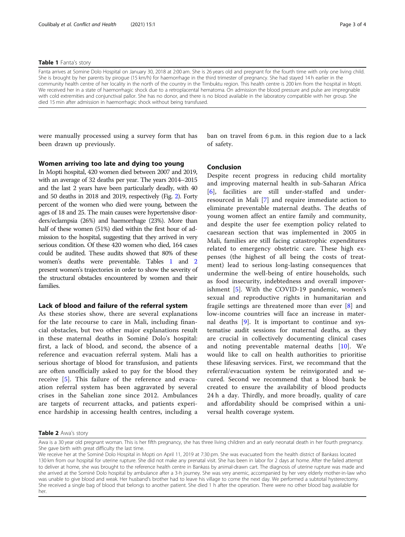#### Table 1 Fanta's story

Fanta arrives at Somine Dolo Hospital on January 30, 2018 at 2:00 am. She is 26 years old and pregnant for the fourth time with only one living child. She is brought by her parents by pirogue (15 km/h) for haemorrhage in the third trimester of pregnancy. She had stayed 14 h earlier in the community health centre of her locality in the north of the country in the Timbuktu region. This health centre is 200 km from the hospital in Mopti. We received her in a state of haemorrhagic shock due to a retroplacental hematoma. On admission the blood pressure and pulse are impregnable with cold extremities and conjunctival pallor. She has no donor, and there is no blood available in the laboratory compatible with her group. She died 15 min after admission in haemorrhagic shock without being transfused.

were manually processed using a survey form that has been drawn up previously.

ban on travel from 6 p.m. in this region due to a lack of safety.

## Women arriving too late and dying too young

In Mopti hospital, 420 women died between 2007 and 2019, with an average of 32 deaths per year. The years 2014–2015 and the last 2 years have been particularly deadly, with 40 and 50 deaths in 2018 and 2019, respectively (Fig. [2\)](#page-1-0). Forty percent of the women who died were young, between the ages of 18 and 25. The main causes were hypertensive disorders/eclampsia (26%) and haemorrhage (23%). More than half of these women (51%) died within the first hour of admission to the hospital, suggesting that they arrived in very serious condition. Of these 420 women who died, 164 cases could be audited. These audits showed that 80% of these women's deaths were preventable. Tables 1 and 2 present women's trajectories in order to show the severity of the structural obstacles encountered by women and their families.

#### Lack of blood and failure of the referral system

As these stories show, there are several explanations for the late recourse to care in Mali, including financial obstacles, but two other major explanations result in these maternal deaths in Sominé Dolo's hospital: first, a lack of blood, and second, the absence of a reference and evacuation referral system. Mali has a serious shortage of blood for transfusion, and patients are often unofficially asked to pay for the blood they receive [\[5](#page-3-0)]. This failure of the reference and evacuation referral system has been aggravated by several crises in the Sahelian zone since 2012. Ambulances are targets of recurrent attacks, and patients experience hardship in accessing health centres, including a

# Conclusion

Despite recent progress in reducing child mortality and improving maternal health in sub-Saharan Africa [[6](#page-3-0)], facilities are still under-staffed and underresourced in Mali [[7\]](#page-3-0) and require immediate action to eliminate preventable maternal deaths. The deaths of young women affect an entire family and community, and despite the user fee exemption policy related to caesarean section that was implemented in 2005 in Mali, families are still facing catastrophic expenditures related to emergency obstetric care. These high expenses (the highest of all being the costs of treatment) lead to serious long-lasting consequences that undermine the well-being of entire households, such as food insecurity, indebtedness and overall impoverishment [[5](#page-3-0)]. With the COVID-19 pandemic, women's sexual and reproductive rights in humanitarian and fragile settings are threatened more than ever [[8\]](#page-3-0) and low-income countries will face an increase in maternal deaths [\[9\]](#page-3-0). It is important to continue and systematise audit sessions for maternal deaths, as they are crucial in collectively documenting clinical cases and noting preventable maternal deaths [[10\]](#page-3-0). We would like to call on health authorities to prioritise these lifesaving services. First, we recommand that the referral/evacuation system be reinvigorated and secured. Second we recommend that a blood bank be created to ensure the availability of blood products 24 h a day. Thirdly, and more broadly, quality of care and affordability should be comprised within a universal health coverage system.

### Table 2 Awa's story

Awa is a 30 year old pregnant woman. This is her fifth pregnancy, she has three living children and an early neonatal death in her fourth pregnancy. She gave birth with great difficulty the last time.

We receive her at the Sominé Dolo Hospital in Mopti on April 11, 2019 at 7:30 pm. She was evacuated from the health district of Bankass located 130 km from our hospital for uterine rupture. She did not make any prenatal visit. She has been in labor for 2 days at home. After the failed attempt to deliver at home, she was brought to the reference health centre in Bankass by animal-drawn cart. The diagnosis of uterine rupture was made and she arrived at the Sominé Dolo hospital by ambulance after a 3-h journey. She was very anemic, accompanied by her very elderly mother-in-law who was unable to give blood and weak. Her husband's brother had to leave his village to come the next day. We performed a subtotal hysterectomy. She received a single bag of blood that belongs to another patient. She died 1 h after the operation. There were no other blood bag available for her.